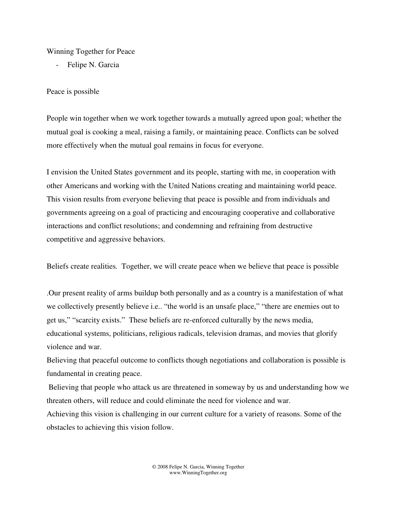## Winning Together for Peace

Felipe N. Garcia

## Peace is possible

People win together when we work together towards a mutually agreed upon goal; whether the mutual goal is cooking a meal, raising a family, or maintaining peace. Conflicts can be solved more effectively when the mutual goal remains in focus for everyone.

I envision the United States government and its people, starting with me, in cooperation with other Americans and working with the United Nations creating and maintaining world peace. This vision results from everyone believing that peace is possible and from individuals and governments agreeing on a goal of practicing and encouraging cooperative and collaborative interactions and conflict resolutions; and condemning and refraining from destructive competitive and aggressive behaviors.

Beliefs create realities*.* Together, we will create peace when we believe that peace is possible

.Our present reality of arms buildup both personally and as a country is a manifestation of what we collectively presently believe i.e.. "the world is an unsafe place," "there are enemies out to get us," "scarcity exists." These beliefs are re-enforced culturally by the news media, educational systems, politicians, religious radicals, television dramas, and movies that glorify violence and war.

Believing that peaceful outcome to conflicts though negotiations and collaboration is possible is fundamental in creating peace.

 Believing that people who attack us are threatened in someway by us and understanding how we threaten others, will reduce and could eliminate the need for violence and war.

Achieving this vision is challenging in our current culture for a variety of reasons. Some of the obstacles to achieving this vision follow.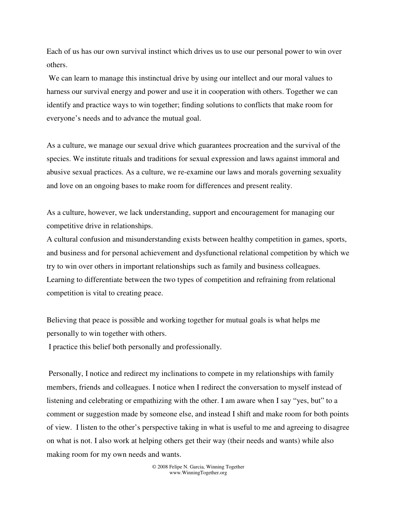Each of us has our own survival instinct which drives us to use our personal power to win over others.

 We can learn to manage this instinctual drive by using our intellect and our moral values to harness our survival energy and power and use it in cooperation with others. Together we can identify and practice ways to win together; finding solutions to conflicts that make room for everyone's needs and to advance the mutual goal.

As a culture, we manage our sexual drive which guarantees procreation and the survival of the species. We institute rituals and traditions for sexual expression and laws against immoral and abusive sexual practices. As a culture, we re-examine our laws and morals governing sexuality and love on an ongoing bases to make room for differences and present reality.

As a culture, however, we lack understanding, support and encouragement for managing our competitive drive in relationships.

A cultural confusion and misunderstanding exists between healthy competition in games, sports, and business and for personal achievement and dysfunctional relational competition by which we try to win over others in important relationships such as family and business colleagues. Learning to differentiate between the two types of competition and refraining from relational competition is vital to creating peace.

Believing that peace is possible and working together for mutual goals is what helps me personally to win together with others.

I practice this belief both personally and professionally.

 Personally, I notice and redirect my inclinations to compete in my relationships with family members, friends and colleagues. I notice when I redirect the conversation to myself instead of listening and celebrating or empathizing with the other. I am aware when I say "yes, but" to a comment or suggestion made by someone else, and instead I shift and make room for both points of view. I listen to the other's perspective taking in what is useful to me and agreeing to disagree on what is not. I also work at helping others get their way (their needs and wants) while also making room for my own needs and wants.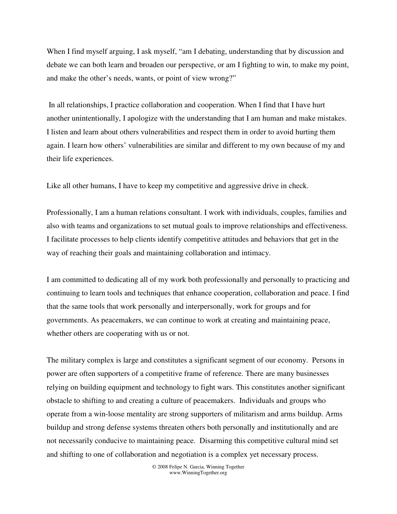When I find myself arguing, I ask myself, "am I debating, understanding that by discussion and debate we can both learn and broaden our perspective, or am I fighting to win, to make my point, and make the other's needs, wants, or point of view wrong?"

 In all relationships, I practice collaboration and cooperation. When I find that I have hurt another unintentionally, I apologize with the understanding that I am human and make mistakes. I listen and learn about others vulnerabilities and respect them in order to avoid hurting them again. I learn how others' vulnerabilities are similar and different to my own because of my and their life experiences.

Like all other humans, I have to keep my competitive and aggressive drive in check.

Professionally, I am a human relations consultant. I work with individuals, couples, families and also with teams and organizations to set mutual goals to improve relationships and effectiveness. I facilitate processes to help clients identify competitive attitudes and behaviors that get in the way of reaching their goals and maintaining collaboration and intimacy.

I am committed to dedicating all of my work both professionally and personally to practicing and continuing to learn tools and techniques that enhance cooperation, collaboration and peace. I find that the same tools that work personally and interpersonally, work for groups and for governments. As peacemakers, we can continue to work at creating and maintaining peace, whether others are cooperating with us or not.

The military complex is large and constitutes a significant segment of our economy. Persons in power are often supporters of a competitive frame of reference. There are many businesses relying on building equipment and technology to fight wars. This constitutes another significant obstacle to shifting to and creating a culture of peacemakers. Individuals and groups who operate from a win-loose mentality are strong supporters of militarism and arms buildup. Arms buildup and strong defense systems threaten others both personally and institutionally and are not necessarily conducive to maintaining peace. Disarming this competitive cultural mind set and shifting to one of collaboration and negotiation is a complex yet necessary process.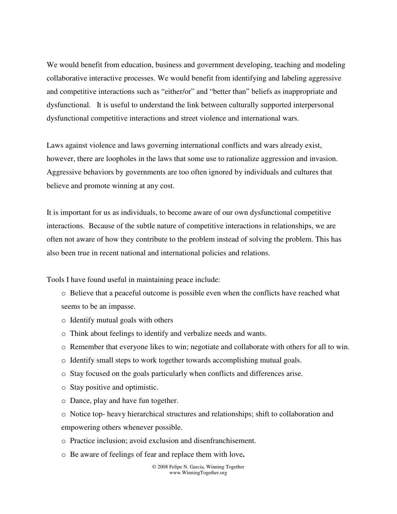We would benefit from education, business and government developing, teaching and modeling collaborative interactive processes. We would benefit from identifying and labeling aggressive and competitive interactions such as "either/or" and "better than" beliefs as inappropriate and dysfunctional. It is useful to understand the link between culturally supported interpersonal dysfunctional competitive interactions and street violence and international wars.

Laws against violence and laws governing international conflicts and wars already exist, however, there are loopholes in the laws that some use to rationalize aggression and invasion. Aggressive behaviors by governments are too often ignored by individuals and cultures that believe and promote winning at any cost.

It is important for us as individuals, to become aware of our own dysfunctional competitive interactions. Because of the subtle nature of competitive interactions in relationships, we are often not aware of how they contribute to the problem instead of solving the problem. This has also been true in recent national and international policies and relations.

Tools I have found useful in maintaining peace include:

- o Believe that a peaceful outcome is possible even when the conflicts have reached what seems to be an impasse.
- o Identify mutual goals with others
- o Think about feelings to identify and verbalize needs and wants.
- o Remember that everyone likes to win; negotiate and collaborate with others for all to win.
- o Identify small steps to work together towards accomplishing mutual goals.
- o Stay focused on the goals particularly when conflicts and differences arise.
- o Stay positive and optimistic.
- o Dance, play and have fun together.
- o Notice top- heavy hierarchical structures and relationships; shift to collaboration and empowering others whenever possible.
- o Practice inclusion; avoid exclusion and disenfranchisement.
- <sup>o</sup> Be aware of feelings of fear and replace them with love**.**